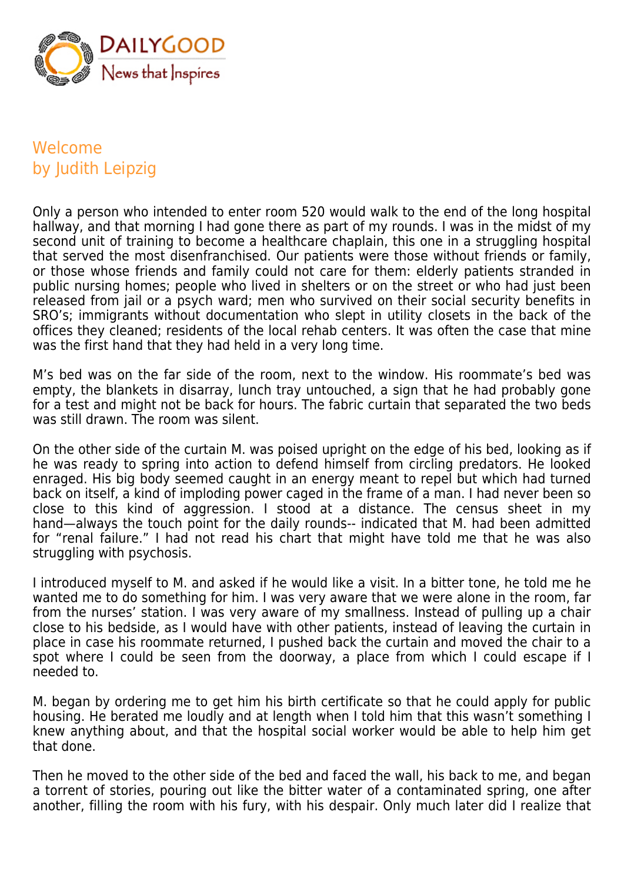

## Welcome by Judith Leipzig

Only a person who intended to enter room 520 would walk to the end of the long hospital hallway, and that morning I had gone there as part of my rounds. I was in the midst of my second unit of training to become a healthcare chaplain, this one in a struggling hospital that served the most disenfranchised. Our patients were those without friends or family, or those whose friends and family could not care for them: elderly patients stranded in public nursing homes; people who lived in shelters or on the street or who had just been released from jail or a psych ward; men who survived on their social security benefits in SRO's; immigrants without documentation who slept in utility closets in the back of the offices they cleaned; residents of the local rehab centers. It was often the case that mine was the first hand that they had held in a very long time.

M's bed was on the far side of the room, next to the window. His roommate's bed was empty, the blankets in disarray, lunch tray untouched, a sign that he had probably gone for a test and might not be back for hours. The fabric curtain that separated the two beds was still drawn. The room was silent.

On the other side of the curtain M. was poised upright on the edge of his bed, looking as if he was ready to spring into action to defend himself from circling predators. He looked enraged. His big body seemed caught in an energy meant to repel but which had turned back on itself, a kind of imploding power caged in the frame of a man. I had never been so close to this kind of aggression. I stood at a distance. The census sheet in my hand—always the touch point for the daily rounds-- indicated that M. had been admitted for "renal failure." I had not read his chart that might have told me that he was also struggling with psychosis.

I introduced myself to M. and asked if he would like a visit. In a bitter tone, he told me he wanted me to do something for him. I was very aware that we were alone in the room, far from the nurses' station. I was very aware of my smallness. Instead of pulling up a chair close to his bedside, as I would have with other patients, instead of leaving the curtain in place in case his roommate returned, I pushed back the curtain and moved the chair to a spot where I could be seen from the doorway, a place from which I could escape if I needed to.

M. began by ordering me to get him his birth certificate so that he could apply for public housing. He berated me loudly and at length when I told him that this wasn't something I knew anything about, and that the hospital social worker would be able to help him get that done.

Then he moved to the other side of the bed and faced the wall, his back to me, and began a torrent of stories, pouring out like the bitter water of a contaminated spring, one after another, filling the room with his fury, with his despair. Only much later did I realize that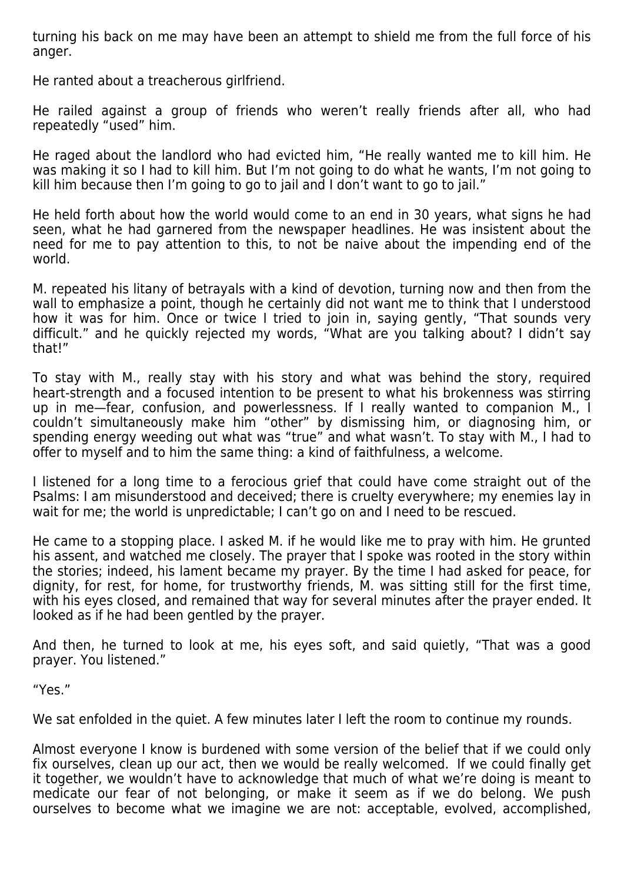turning his back on me may have been an attempt to shield me from the full force of his anger.

He ranted about a treacherous girlfriend.

He railed against a group of friends who weren't really friends after all, who had repeatedly "used" him.

He raged about the landlord who had evicted him, "He really wanted me to kill him. He was making it so I had to kill him. But I'm not going to do what he wants, I'm not going to kill him because then I'm going to go to jail and I don't want to go to jail."

He held forth about how the world would come to an end in 30 years, what signs he had seen, what he had garnered from the newspaper headlines. He was insistent about the need for me to pay attention to this, to not be naive about the impending end of the world.

M. repeated his litany of betrayals with a kind of devotion, turning now and then from the wall to emphasize a point, though he certainly did not want me to think that I understood how it was for him. Once or twice I tried to join in, saying gently, "That sounds very difficult." and he quickly rejected my words, "What are you talking about? I didn't say that!"

To stay with M., really stay with his story and what was behind the story, required heart-strength and a focused intention to be present to what his brokenness was stirring up in me—fear, confusion, and powerlessness. If I really wanted to companion M., I couldn't simultaneously make him "other" by dismissing him, or diagnosing him, or spending energy weeding out what was "true" and what wasn't. To stay with M., I had to offer to myself and to him the same thing: a kind of faithfulness, a welcome.

I listened for a long time to a ferocious grief that could have come straight out of the Psalms: I am misunderstood and deceived; there is cruelty everywhere; my enemies lay in wait for me; the world is unpredictable; I can't go on and I need to be rescued.

He came to a stopping place. I asked M. if he would like me to pray with him. He grunted his assent, and watched me closely. The prayer that I spoke was rooted in the story within the stories; indeed, his lament became my prayer. By the time I had asked for peace, for dignity, for rest, for home, for trustworthy friends, M. was sitting still for the first time, with his eyes closed, and remained that way for several minutes after the prayer ended. It looked as if he had been gentled by the prayer.

And then, he turned to look at me, his eyes soft, and said quietly, "That was a good prayer. You listened."

"Yes."

We sat enfolded in the quiet. A few minutes later I left the room to continue my rounds.

Almost everyone I know is burdened with some version of the belief that if we could only fix ourselves, clean up our act, then we would be really welcomed. If we could finally get it together, we wouldn't have to acknowledge that much of what we're doing is meant to medicate our fear of not belonging, or make it seem as if we do belong. We push ourselves to become what we imagine we are not: acceptable, evolved, accomplished,